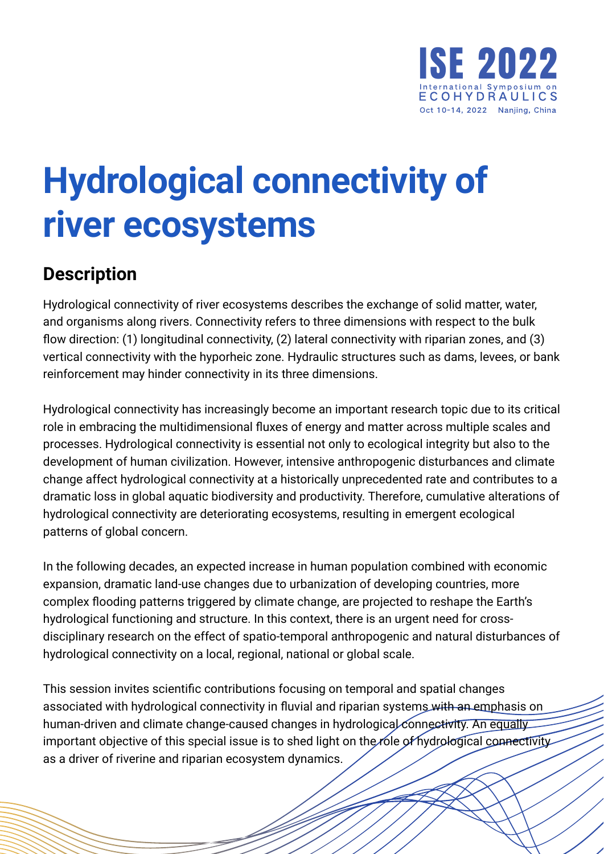

## **Hydrological connectivity of river ecosystems**

## **Description**

Hydrological connectivity of river ecosystems describes the exchange of solid matter, water, and organisms along rivers. Connectivity refers to three dimensions with respect to the bulk flow direction: (1) longitudinal connectivity, (2) lateral connectivity with riparian zones, and (3) vertical connectivity with the hyporheic zone. Hydraulic structures such as dams, levees, or bank reinforcement may hinder connectivity in its three dimensions.

Hydrological connectivity has increasingly become an important research topic due to its critical role in embracing the multidimensional fluxes of energy and matter across multiple scales and processes. Hydrological connectivity is essential not only to ecological integrity but also to the development of human civilization. However, intensive anthropogenic disturbances and climate change affect hydrological connectivity at a historically unprecedented rate and contributes to a dramatic loss in global aquatic biodiversity and productivity. Therefore, cumulative alterations of hydrological connectivity are deteriorating ecosystems, resulting in emergent ecological patterns of global concern.

In the following decades, an expected increase in human population combined with economic expansion, dramatic land-use changes due to urbanization of developing countries, more complex flooding patterns triggered by climate change, are projected to reshape the Earth's hydrological functioning and structure. In this context, there is an urgent need for crossdisciplinary research on the effect of spatio-temporal anthropogenic and natural disturbances of hydrological connectivity on a local, regional, national or global scale.

This session invites scientific contributions focusing on temporal and spatial changes associated with hydrological connectivity in fluvial and riparian systems with an emphasis on human-driven and climate change-caused changes in hydrological connectivity. An equally important objective of this special issue is to shed light on the role of hydrological connectivity as a driver of riverine and riparian ecosystem dynamics.